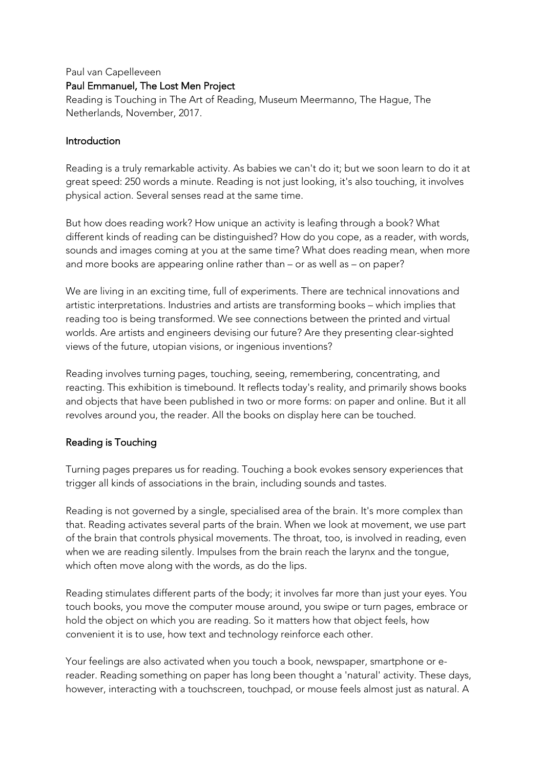## Paul van Capelleveen Paul Emmanuel, The Lost Men Project

Reading is Touching in The Art of Reading, Museum Meermanno, The Hague, The Netherlands, November, 2017.

## Introduction

Reading is a truly remarkable activity. As babies we can't do it; but we soon learn to do it at great speed: 250 words a minute. Reading is not just looking, it's also touching, it involves physical action. Several senses read at the same time.

But how does reading work? How unique an activity is leafing through a book? What different kinds of reading can be distinguished? How do you cope, as a reader, with words, sounds and images coming at you at the same time? What does reading mean, when more and more books are appearing online rather than – or as well as – on paper?

We are living in an exciting time, full of experiments. There are technical innovations and artistic interpretations. Industries and artists are transforming books – which implies that reading too is being transformed. We see connections between the printed and virtual worlds. Are artists and engineers devising our future? Are they presenting clear-sighted views of the future, utopian visions, or ingenious inventions?

Reading involves turning pages, touching, seeing, remembering, concentrating, and reacting. This exhibition is timebound. It reflects today's reality, and primarily shows books and objects that have been published in two or more forms: on paper and online. But it all revolves around you, the reader. All the books on display here can be touched.

## Reading is Touching

Turning pages prepares us for reading. Touching a book evokes sensory experiences that trigger all kinds of associations in the brain, including sounds and tastes.

Reading is not governed by a single, specialised area of the brain. It's more complex than that. Reading activates several parts of the brain. When we look at movement, we use part of the brain that controls physical movements. The throat, too, is involved in reading, even when we are reading silently. Impulses from the brain reach the larynx and the tongue, which often move along with the words, as do the lips.

Reading stimulates different parts of the body; it involves far more than just your eyes. You touch books, you move the computer mouse around, you swipe or turn pages, embrace or hold the object on which you are reading. So it matters how that object feels, how convenient it is to use, how text and technology reinforce each other.

Your feelings are also activated when you touch a book, newspaper, smartphone or ereader. Reading something on paper has long been thought a 'natural' activity. These days, however, interacting with a touchscreen, touchpad, or mouse feels almost just as natural. A